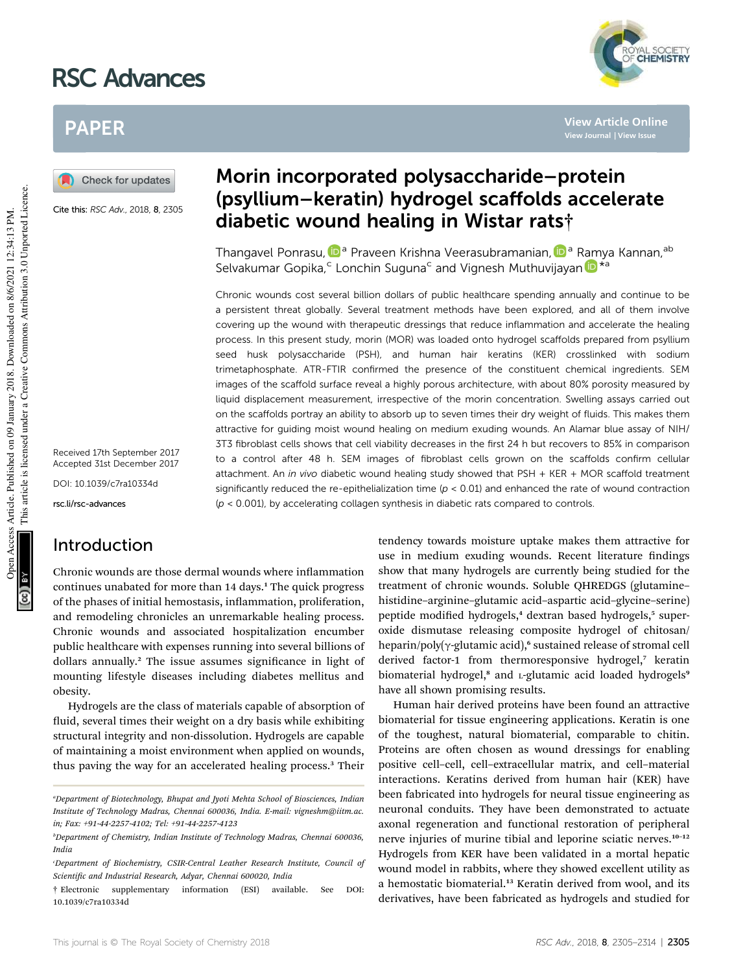# RSC Advances



**View Article Online View Journal | View Issue**

## PAPER

Check for updates

Cite this: RSC Adv., 2018, 8, 2305

Received 17th September 2017 Accepted 31st December 2017

DOI: 10.1039/c7ra10334d

rsc.li/rsc-advances

## Introduction

Chronic wounds are those dermal wounds where inflammation continues unabated for more than 14 days.<sup>1</sup> The quick progress of the phases of initial hemostasis, inflammation, proliferation, and remodeling chronicles an unremarkable healing process. Chronic wounds and associated hospitalization encumber public healthcare with expenses running into several billions of dollars annually.<sup>2</sup> The issue assumes significance in light of mounting lifestyle diseases including diabetes mellitus and obesity.

Hydrogels are the class of materials capable of absorption of fluid, several times their weight on a dry basis while exhibiting structural integrity and non-dissolution. Hydrogels are capable of maintaining a moist environment when applied on wounds, thus paving the way for an accelerated healing process.<sup>3</sup> Their

## Morin incorporated polysaccharide–protein (psyllium–keratin) hydrogel scaffolds accelerate diabetic wound healing in Wistar rats†

Thangavel Ponrasu, D<sup>a</sup> Praveen Krishna Veerasubramanian, D<sup>a</sup> Ramya Kannan, <sup>ab</sup> Selvakumar Gopika,<sup>c</sup> Lonchin Suguna<sup>c</sup> and Vignesh Muthuvijayan D<sup>\*a</sup>

Chronic wounds cost several billion dollars of public healthcare spending annually and continue to be a persistent threat globally. Several treatment methods have been explored, and all of them involve covering up the wound with therapeutic dressings that reduce inflammation and accelerate the healing process. In this present study, morin (MOR) was loaded onto hydrogel scaffolds prepared from psyllium seed husk polysaccharide (PSH), and human hair keratins (KER) crosslinked with sodium trimetaphosphate. ATR-FTIR confirmed the presence of the constituent chemical ingredients. SEM images of the scaffold surface reveal a highly porous architecture, with about 80% porosity measured by liquid displacement measurement, irrespective of the morin concentration. Swelling assays carried out on the scaffolds portray an ability to absorb up to seven times their dry weight of fluids. This makes them attractive for guiding moist wound healing on medium exuding wounds. An Alamar blue assay of NIH/ 3T3 fibroblast cells shows that cell viability decreases in the first 24 h but recovers to 85% in comparison to a control after 48 h. SEM images of fibroblast cells grown on the scaffolds confirm cellular attachment. An in vivo diabetic wound healing study showed that PSH + KER + MOR scaffold treatment significantly reduced the re-epithelialization time ( $p < 0.01$ ) and enhanced the rate of wound contraction  $(p < 0.001)$ , by accelerating collagen synthesis in diabetic rats compared to controls.

> tendency towards moisture uptake makes them attractive for use in medium exuding wounds. Recent literature findings show that many hydrogels are currently being studied for the treatment of chronic wounds. Soluble QHREDGS (glutamine– histidine–arginine–glutamic acid–aspartic acid–glycine–serine) peptide modified hydrogels,<sup>4</sup> dextran based hydrogels,<sup>5</sup> superoxide dismutase releasing composite hydrogel of chitosan/ heparin/poly( $\gamma$ -glutamic acid),<sup>6</sup> sustained release of stromal cell derived factor-1 from thermoresponsive hydrogel,<sup>7</sup> keratin biomaterial hydrogel,<sup>8</sup> and L-glutamic acid loaded hydrogels<sup>9</sup> have all shown promising results.

> Human hair derived proteins have been found an attractive biomaterial for tissue engineering applications. Keratin is one of the toughest, natural biomaterial, comparable to chitin. Proteins are often chosen as wound dressings for enabling positive cell–cell, cell–extracellular matrix, and cell–material interactions. Keratins derived from human hair (KER) have been fabricated into hydrogels for neural tissue engineering as neuronal conduits. They have been demonstrated to actuate axonal regeneration and functional restoration of peripheral nerve injuries of murine tibial and leporine sciatic nerves.<sup>10-12</sup> Hydrogels from KER have been validated in a mortal hepatic wound model in rabbits, where they showed excellent utility as a hemostatic biomaterial.<sup>13</sup> Keratin derived from wool, and its derivatives, have been fabricated as hydrogels and studied for

*<sup>a</sup>Department of Biotechnology, Bhupat and Jyoti Mehta School of Biosciences, Indian Institute of Technology Madras, Chennai 600036, India. E-mail: vigneshm@iitm.ac. in; Fax: +91-44-2257-4102; Tel: +91-44-2257-4123*

*<sup>b</sup>Department of Chemistry, Indian Institute of Technology Madras, Chennai 600036, India*

*<sup>c</sup>Department of Biochemistry, CSIR-Central Leather Research Institute, Council of Scientic and Industrial Research, Adyar, Chennai 600020, India*

<sup>†</sup> Electronic supplementary information (ESI) available. See DOI: 10.1039/c7ra10334d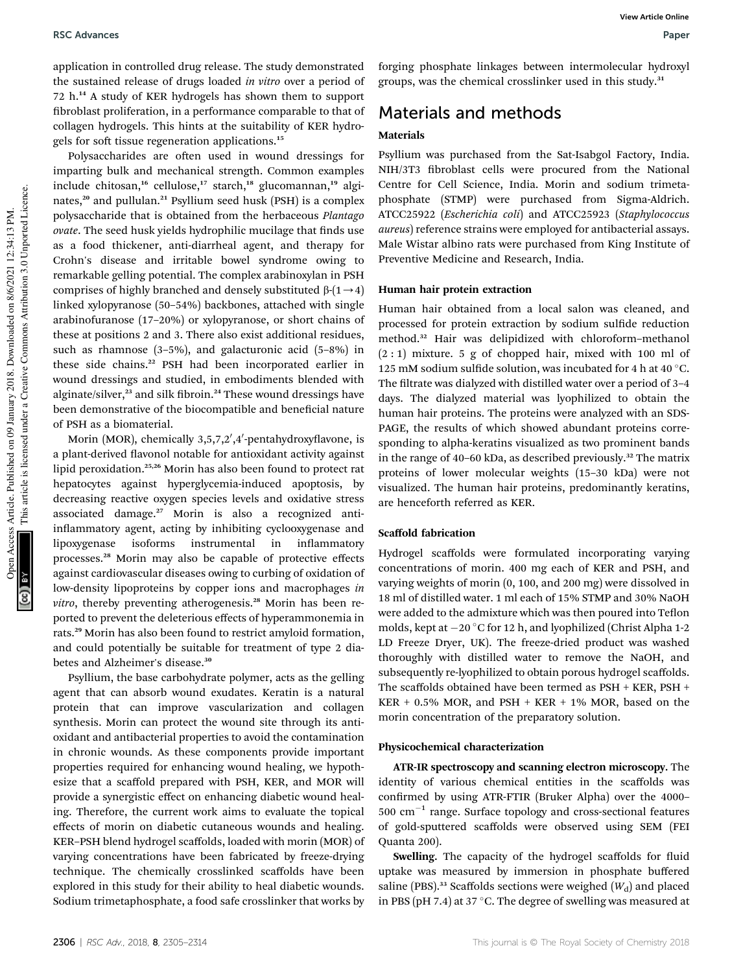application in controlled drug release. The study demonstrated the sustained release of drugs loaded *in vitro* over a period of 72 h.<sup>14</sup> A study of KER hydrogels has shown them to support broblast proliferation, in a performance comparable to that of collagen hydrogels. This hints at the suitability of KER hydrogels for soft tissue regeneration applications.<sup>15</sup>

Polysaccharides are often used in wound dressings for imparting bulk and mechanical strength. Common examples include chitosan,<sup>16</sup> cellulose,<sup>17</sup> starch,<sup>18</sup> glucomannan,<sup>19</sup> alginates,<sup>20</sup> and pullulan.<sup>21</sup> Psyllium seed husk (PSH) is a complex polysaccharide that is obtained from the herbaceous *Plantago ovate*. The seed husk yields hydrophilic mucilage that finds use as a food thickener, anti-diarrheal agent, and therapy for Crohn's disease and irritable bowel syndrome owing to remarkable gelling potential. The complex arabinoxylan in PSH comprises of highly branched and densely substituted  $\beta$ - $(1\rightarrow 4)$ linked xylopyranose (50–54%) backbones, attached with single arabinofuranose (17–20%) or xylopyranose, or short chains of these at positions 2 and 3. There also exist additional residues, such as rhamnose (3–5%), and galacturonic acid (5–8%) in these side chains.<sup>22</sup> PSH had been incorporated earlier in wound dressings and studied, in embodiments blended with alginate/silver,<sup>23</sup> and silk fibroin.<sup>24</sup> These wound dressings have been demonstrative of the biocompatible and beneficial nature of PSH as a biomaterial.

Morin (MOR), chemically 3,5,7,2',4'-pentahydroxyflavone, is a plant-derived flavonol notable for antioxidant activity against lipid peroxidation.25,26 Morin has also been found to protect rat hepatocytes against hyperglycemia-induced apoptosis, by decreasing reactive oxygen species levels and oxidative stress associated damage.<sup>27</sup> Morin is also a recognized antiinflammatory agent, acting by inhibiting cyclooxygenase and lipoxygenase isoforms instrumental in inflammatory processes.<sup>28</sup> Morin may also be capable of protective effects against cardiovascular diseases owing to curbing of oxidation of low-density lipoproteins by copper ions and macrophages *in vitro*, thereby preventing atherogenesis.<sup>28</sup> Morin has been reported to prevent the deleterious effects of hyperammonemia in rats.<sup>29</sup> Morin has also been found to restrict amyloid formation, and could potentially be suitable for treatment of type 2 diabetes and Alzheimer's disease.<sup>30</sup>

Psyllium, the base carbohydrate polymer, acts as the gelling agent that can absorb wound exudates. Keratin is a natural protein that can improve vascularization and collagen synthesis. Morin can protect the wound site through its antioxidant and antibacterial properties to avoid the contamination in chronic wounds. As these components provide important properties required for enhancing wound healing, we hypothesize that a scaffold prepared with PSH, KER, and MOR will provide a synergistic effect on enhancing diabetic wound healing. Therefore, the current work aims to evaluate the topical effects of morin on diabetic cutaneous wounds and healing. KER–PSH blend hydrogel scaffolds, loaded with morin (MOR) of varying concentrations have been fabricated by freeze-drying technique. The chemically crosslinked scaffolds have been explored in this study for their ability to heal diabetic wounds. Sodium trimetaphosphate, a food safe crosslinker that works by

forging phosphate linkages between intermolecular hydroxyl groups, was the chemical crosslinker used in this study.<sup>31</sup>

## Materials and methods

## Materials

Psyllium was purchased from the Sat-Isabgol Factory, India. NIH/3T3 fibroblast cells were procured from the National Centre for Cell Science, India. Morin and sodium trimetaphosphate (STMP) were purchased from Sigma-Aldrich. ATCC25922 (*Escherichia coli*) and ATCC25923 (*Staphylococcus aureus*) reference strains were employed for antibacterial assays. Male Wistar albino rats were purchased from King Institute of Preventive Medicine and Research, India.

### Human hair protein extraction

Human hair obtained from a local salon was cleaned, and processed for protein extraction by sodium sulfide reduction method.<sup>32</sup> Hair was delipidized with chloroform–methanol  $(2:1)$  mixture. 5 g of chopped hair, mixed with 100 ml of 125 mM sodium sulfide solution, was incubated for 4 h at 40  $^{\circ}$ C. The filtrate was dialyzed with distilled water over a period of 3-4 days. The dialyzed material was lyophilized to obtain the human hair proteins. The proteins were analyzed with an SDS-PAGE, the results of which showed abundant proteins corresponding to alpha-keratins visualized as two prominent bands in the range of 40–60 kDa, as described previously.<sup>32</sup> The matrix proteins of lower molecular weights (15–30 kDa) were not visualized. The human hair proteins, predominantly keratins, are henceforth referred as KER.

## Scaffold fabrication

Hydrogel scaffolds were formulated incorporating varying concentrations of morin. 400 mg each of KER and PSH, and varying weights of morin (0, 100, and 200 mg) were dissolved in 18 ml of distilled water. 1 ml each of 15% STMP and 30% NaOH were added to the admixture which was then poured into Teflon molds, kept at -20 °C for 12 h, and lyophilized (Christ Alpha 1-2 LD Freeze Dryer, UK). The freeze-dried product was washed thoroughly with distilled water to remove the NaOH, and subsequently re-lyophilized to obtain porous hydrogel scaffolds. The scaffolds obtained have been termed as PSH + KER, PSH +  $KER + 0.5\%$  MOR, and  $PSH + KER + 1\%$  MOR, based on the morin concentration of the preparatory solution.

### Physicochemical characterization

ATR-IR spectroscopy and scanning electron microscopy. The identity of various chemical entities in the scaffolds was confirmed by using ATR-FTIR (Bruker Alpha) over the 4000- $500 \text{ cm}^{-1}$  range. Surface topology and cross-sectional features of gold-sputtered scaffolds were observed using SEM (FEI Quanta 200).

Swelling. The capacity of the hydrogel scaffolds for fluid uptake was measured by immersion in phosphate buffered saline (PBS).<sup>33</sup> Scaffolds sections were weighed  $(W<sub>d</sub>)$  and placed in PBS (pH 7.4) at 37  $^{\circ}$ C. The degree of swelling was measured at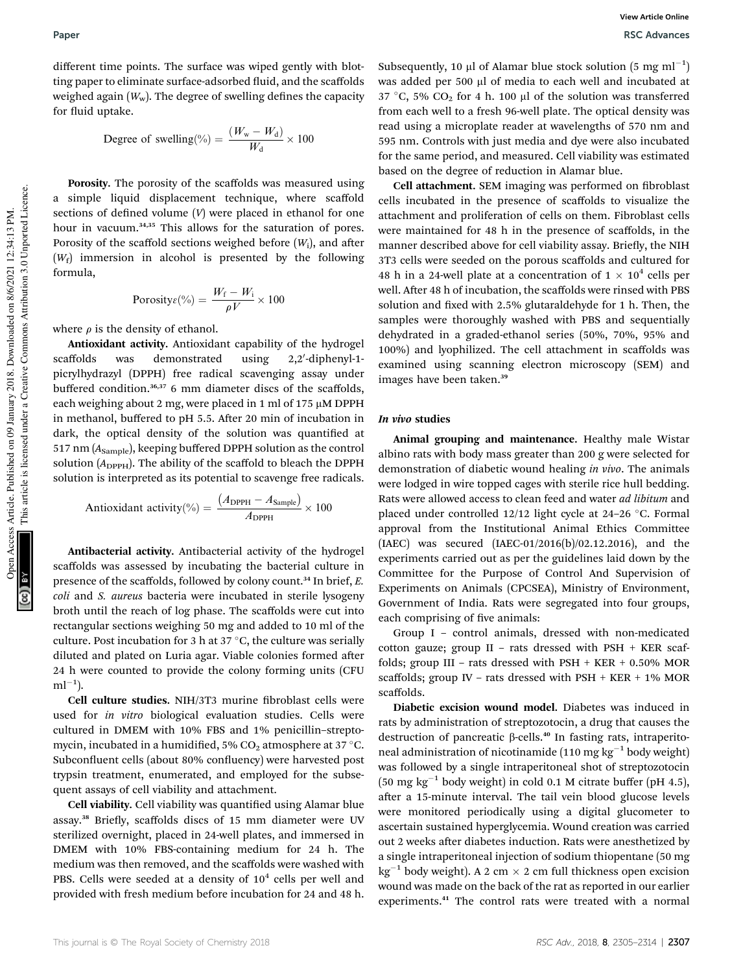different time points. The surface was wiped gently with blotting paper to eliminate surface-adsorbed fluid, and the scaffolds weighed again  $(W_w)$ . The degree of swelling defines the capacity for fluid uptake.

Degree of switching(
$$
\%
$$
) =  $\frac{(W_w - W_d)}{W_d} \times 100$ 

Porosity. The porosity of the scaffolds was measured using a simple liquid displacement technique, where scaffold sections of defined volume  $(V)$  were placed in ethanol for one hour in vacuum.<sup>34,35</sup> This allows for the saturation of pores. Porosity of the scaffold sections weighed before  $(W_i)$ , and after (*W*<sup>f</sup> ) immersion in alcohol is presented by the following formula,

$$
\text{Porosity}_{\mathcal{E}}(\%) = \frac{W_{\text{f}} - W_{\text{i}}}{\rho V} \times 100
$$

where  $\rho$  is the density of ethanol.

Antioxidant activity. Antioxidant capability of the hydrogel scaffolds was demonstrated using 2,2'-diphenyl-1picrylhydrazyl (DPPH) free radical scavenging assay under buffered condition.36,37 6 mm diameter discs of the scaffolds, each weighing about 2 mg, were placed in 1 ml of 175  $\mu$ M DPPH in methanol, buffered to pH 5.5. After 20 min of incubation in dark, the optical density of the solution was quantified at 517 nm (A<sub>Sample</sub>), keeping buffered DPPH solution as the control solution  $(A_{\text{DPPH}})$ . The ability of the scaffold to bleach the DPPH solution is interpreted as its potential to scavenge free radicals.

Antioxidant activity (%) = 
$$
\frac{(A_{\text{DPPH}} - A_{\text{Sample}})}{A_{\text{DPPH}}} \times 100
$$

Antibacterial activity. Antibacterial activity of the hydrogel scaffolds was assessed by incubating the bacterial culture in presence of the scaffolds, followed by colony count.<sup>34</sup> In brief, *E. coli* and *S. aureus* bacteria were incubated in sterile lysogeny broth until the reach of log phase. The scaffolds were cut into rectangular sections weighing 50 mg and added to 10 ml of the culture. Post incubation for 3 h at 37  $\mathrm{^{\circ}C},$  the culture was serially diluted and plated on Luria agar. Viable colonies formed after 24 h were counted to provide the colony forming units (CFU  $ml^{-1}$ ).

Cell culture studies. NIH/3T3 murine fibroblast cells were used for *in vitro* biological evaluation studies. Cells were cultured in DMEM with 10% FBS and 1% penicillin–streptomycin, incubated in a humidified, 5% CO<sub>2</sub> atmosphere at 37  $^{\circ}$ C. Subconfluent cells (about 80% confluency) were harvested post trypsin treatment, enumerated, and employed for the subsequent assays of cell viability and attachment.

Cell viability. Cell viability was quantified using Alamar blue assay.<sup>38</sup> Briefly, scaffolds discs of 15 mm diameter were UV sterilized overnight, placed in 24-well plates, and immersed in DMEM with 10% FBS-containing medium for 24 h. The medium was then removed, and the scaffolds were washed with PBS. Cells were seeded at a density of  $10^4$  cells per well and provided with fresh medium before incubation for 24 and 48 h.

Subsequently, 10 µl of Alamar blue stock solution  $(5 \text{ mg ml}^{-1})$ was added per 500 µl of media to each well and incubated at 37 °C, 5%  $CO_2$  for 4 h. 100 µl of the solution was transferred from each well to a fresh 96-well plate. The optical density was read using a microplate reader at wavelengths of 570 nm and 595 nm. Controls with just media and dye were also incubated for the same period, and measured. Cell viability was estimated based on the degree of reduction in Alamar blue.

Cell attachment. SEM imaging was performed on fibroblast cells incubated in the presence of scaffolds to visualize the attachment and proliferation of cells on them. Fibroblast cells were maintained for 48 h in the presence of scaffolds, in the manner described above for cell viability assay. Briefly, the NIH 3T3 cells were seeded on the porous scaffolds and cultured for 48 h in a 24-well plate at a concentration of  $1 \times 10^4$  cells per well. After 48 h of incubation, the scaffolds were rinsed with PBS solution and fixed with 2.5% glutaraldehyde for 1 h. Then, the samples were thoroughly washed with PBS and sequentially dehydrated in a graded-ethanol series (50%, 70%, 95% and 100%) and lyophilized. The cell attachment in scaffolds was examined using scanning electron microscopy (SEM) and images have been taken.<sup>39</sup>

#### In vivo studies

Animal grouping and maintenance. Healthy male Wistar albino rats with body mass greater than 200 g were selected for demonstration of diabetic wound healing *in vivo*. The animals were lodged in wire topped cages with sterile rice hull bedding. Rats were allowed access to clean feed and water *ad libitum* and placed under controlled 12/12 light cycle at 24-26 °C. Formal approval from the Institutional Animal Ethics Committee (IAEC) was secured (IAEC-01/2016(b)/02.12.2016), and the experiments carried out as per the guidelines laid down by the Committee for the Purpose of Control And Supervision of Experiments on Animals (CPCSEA), Ministry of Environment, Government of India. Rats were segregated into four groups, each comprising of five animals:

Group I – control animals, dressed with non-medicated cotton gauze; group II – rats dressed with PSH + KER scaffolds; group III – rats dressed with PSH + KER + 0.50% MOR scaffolds; group IV – rats dressed with PSH + KER + 1% MOR scaffolds.

Diabetic excision wound model. Diabetes was induced in rats by administration of streptozotocin, a drug that causes the destruction of pancreatic  $\beta$ -cells.<sup>40</sup> In fasting rats, intraperitoneal administration of nicotinamide (110 mg kg $^{-1}$  body weight) was followed by a single intraperitoneal shot of streptozotocin  $(50 \text{ mg kg}^{-1}$  body weight) in cold 0.1 M citrate buffer (pH 4.5), after a 15-minute interval. The tail vein blood glucose levels were monitored periodically using a digital glucometer to ascertain sustained hyperglycemia. Wound creation was carried out 2 weeks after diabetes induction. Rats were anesthetized by a single intraperitoneal injection of sodium thiopentane (50 mg  $\text{kg}^{-1}$  body weight). A 2 cm  $\times$  2 cm full thickness open excision wound was made on the back of the rat as reported in our earlier experiments.<sup>41</sup> The control rats were treated with a normal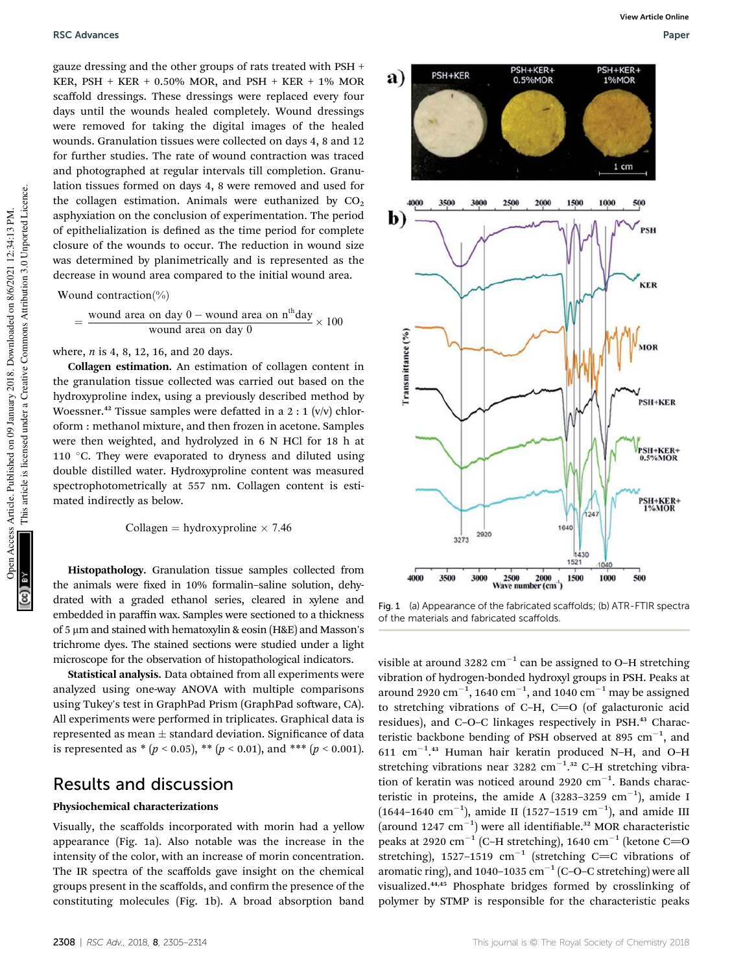gauze dressing and the other groups of rats treated with PSH + KER, PSH + KER + 0.50% MOR, and PSH + KER + 1% MOR scaffold dressings. These dressings were replaced every four days until the wounds healed completely. Wound dressings were removed for taking the digital images of the healed wounds. Granulation tissues were collected on days 4, 8 and 12 for further studies. The rate of wound contraction was traced and photographed at regular intervals till completion. Granulation tissues formed on days 4, 8 were removed and used for the collagen estimation. Animals were euthanized by  $CO<sub>2</sub>$ asphyxiation on the conclusion of experimentation. The period of epithelialization is defined as the time period for complete closure of the wounds to occur. The reduction in wound size was determined by planimetrically and is represented as the decrease in wound area compared to the initial wound area.

Wound contraction $\binom{0}{0}$ 

$$
= \frac{\text{wound area on day 0 - wound area on n}^{\text{th}} \text{day}}{\text{wound area on day 0}} \times 100
$$

where, *n* is 4, 8, 12, 16, and 20 days.

Collagen estimation. An estimation of collagen content in the granulation tissue collected was carried out based on the hydroxyproline index, using a previously described method by Woessner.<sup>42</sup> Tissue samples were defatted in a 2 : 1 (v/v) chloroform : methanol mixture, and then frozen in acetone. Samples were then weighted, and hydrolyzed in 6 N HCl for 18 h at 110 °C. They were evaporated to dryness and diluted using double distilled water. Hydroxyproline content was measured spectrophotometrically at 557 nm. Collagen content is estimated indirectly as below.

Collagen = hydroxyproline  $\times$  7.46

Histopathology. Granulation tissue samples collected from the animals were fixed in 10% formalin–saline solution, dehydrated with a graded ethanol series, cleared in xylene and embedded in paraffin wax. Samples were sectioned to a thickness of 5 µm and stained with hematoxylin & eosin (H&E) and Masson's trichrome dyes. The stained sections were studied under a light microscope for the observation of histopathological indicators.

Statistical analysis. Data obtained from all experiments were analyzed using one-way ANOVA with multiple comparisons using Tukey's test in GraphPad Prism (GraphPad software, CA). All experiments were performed in triplicates. Graphical data is represented as mean  $\pm$  standard deviation. Significance of data is represented as  $*(p < 0.05), ** (p < 0.01),$  and  $*** (p < 0.001).$ 

## Results and discussion

#### Physiochemical characterizations

Visually, the scaffolds incorporated with morin had a yellow appearance (Fig. 1a). Also notable was the increase in the intensity of the color, with an increase of morin concentration. The IR spectra of the scaffolds gave insight on the chemical groups present in the scaffolds, and confirm the presence of the constituting molecules (Fig. 1b). A broad absorption band



Fig. 1 (a) Appearance of the fabricated scaffolds; (b) ATR-FTIR spectra of the materials and fabricated scaffolds.

visible at around 3282  $\text{cm}^{-1}$  can be assigned to O–H stretching vibration of hydrogen-bonded hydroxyl groups in PSH. Peaks at around 2920  $\mathrm{cm}^{-1}$ , 1640  $\mathrm{cm}^{-1}$ , and 1040  $\mathrm{cm}^{-1}$  may be assigned to stretching vibrations of C–H, C=O (of galacturonic acid residues), and C-O-C linkages respectively in PSH.<sup>43</sup> Characteristic backbone bending of PSH observed at 895  $\text{cm}^{-1}$ , and  $611$   $cm^{-1}.43$  Human hair keratin produced N-H, and O-H stretching vibrations near 3282 cm<sup>-1</sup>.<sup>32</sup> C-H stretching vibration of keratin was noticed around 2920  $cm^{-1}$ . Bands characteristic in proteins, the amide A  $(3283-3259 \text{ cm}^{-1})$ , amide I  $(1644-1640 \text{ cm}^{-1})$ , amide II  $(1527-1519 \text{ cm}^{-1})$ , and amide III (around 1247  $cm^{-1}$ ) were all identifiable.<sup>32</sup> MOR characteristic peaks at 2920 cm<sup>-1</sup> (C-H stretching), 1640 cm<sup>-1</sup> (ketone C=O stretching), 1527-1519  $cm^{-1}$  (stretching C=C vibrations of aromatic ring), and 1040-1035  $\text{cm}^{-1}$  (C-O-C stretching) were all visualized.44,45 Phosphate bridges formed by crosslinking of polymer by STMP is responsible for the characteristic peaks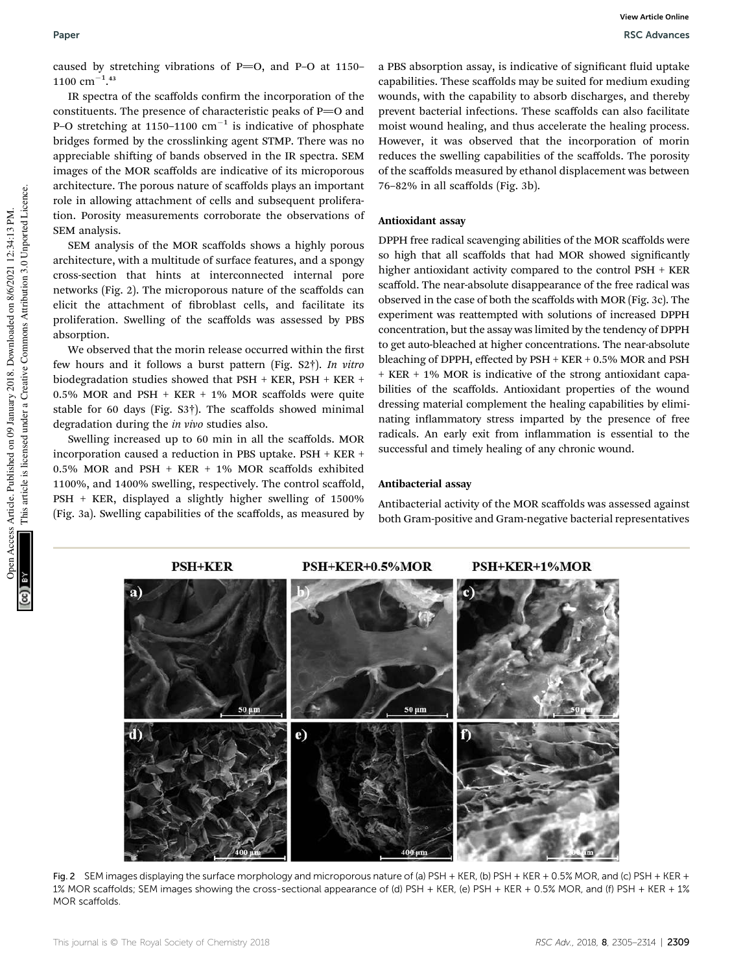caused by stretching vibrations of  $P=O$ , and P–O at 1150–  $1100 \text{ cm}^{-1}.43$ 

IR spectra of the scaffolds confirm the incorporation of the constituents. The presence of characteristic peaks of  $P=O$  and P-O stretching at 1150-1100  $\text{cm}^{-1}$  is indicative of phosphate bridges formed by the crosslinking agent STMP. There was no appreciable shifting of bands observed in the IR spectra. SEM images of the MOR scaffolds are indicative of its microporous architecture. The porous nature of scaffolds plays an important role in allowing attachment of cells and subsequent proliferation. Porosity measurements corroborate the observations of SEM analysis.

SEM analysis of the MOR scaffolds shows a highly porous architecture, with a multitude of surface features, and a spongy cross-section that hints at interconnected internal pore networks (Fig. 2). The microporous nature of the scaffolds can elicit the attachment of broblast cells, and facilitate its proliferation. Swelling of the scaffolds was assessed by PBS absorption.

We observed that the morin release occurred within the first few hours and it follows a burst pattern (Fig. S2†). *In vitro* biodegradation studies showed that PSH + KER, PSH + KER + 0.5% MOR and PSH + KER + 1% MOR scaffolds were quite stable for 60 days (Fig. S3†). The scaffolds showed minimal degradation during the *in vivo* studies also.

Swelling increased up to 60 min in all the scaffolds. MOR incorporation caused a reduction in PBS uptake. PSH + KER + 0.5% MOR and PSH + KER + 1% MOR scaffolds exhibited 1100%, and 1400% swelling, respectively. The control scaffold, PSH + KER, displayed a slightly higher swelling of 1500% (Fig. 3a). Swelling capabilities of the scaffolds, as measured by

a PBS absorption assay, is indicative of significant fluid uptake capabilities. These scaffolds may be suited for medium exuding wounds, with the capability to absorb discharges, and thereby prevent bacterial infections. These scaffolds can also facilitate moist wound healing, and thus accelerate the healing process. However, it was observed that the incorporation of morin reduces the swelling capabilities of the scaffolds. The porosity of the scaffolds measured by ethanol displacement was between 76–82% in all scaffolds (Fig. 3b).

#### Antioxidant assay

DPPH free radical scavenging abilities of the MOR scaffolds were so high that all scaffolds that had MOR showed significantly higher antioxidant activity compared to the control PSH + KER scaffold. The near-absolute disappearance of the free radical was observed in the case of both the scaffolds with MOR (Fig. 3c). The experiment was reattempted with solutions of increased DPPH concentration, but the assay was limited by the tendency of DPPH to get auto-bleached at higher concentrations. The near-absolute bleaching of DPPH, effected by PSH + KER + 0.5% MOR and PSH + KER + 1% MOR is indicative of the strong antioxidant capabilities of the scaffolds. Antioxidant properties of the wound dressing material complement the healing capabilities by eliminating inflammatory stress imparted by the presence of free radicals. An early exit from inflammation is essential to the successful and timely healing of any chronic wound.

Antibacterial activity of the MOR scaffolds was assessed against both Gram-positive and Gram-negative bacterial representatives

#### Antibacterial assay



Fig. 2 SEM images displaying the surface morphology and microporous nature of (a) PSH + KER, (b) PSH + KER + 0.5% MOR, and (c) PSH + KER + 1% MOR scaffolds; SEM images showing the cross-sectional appearance of (d) PSH + KER, (e) PSH + KER + 0.5% MOR, and (f) PSH + KER + 1% MOR scaffolds.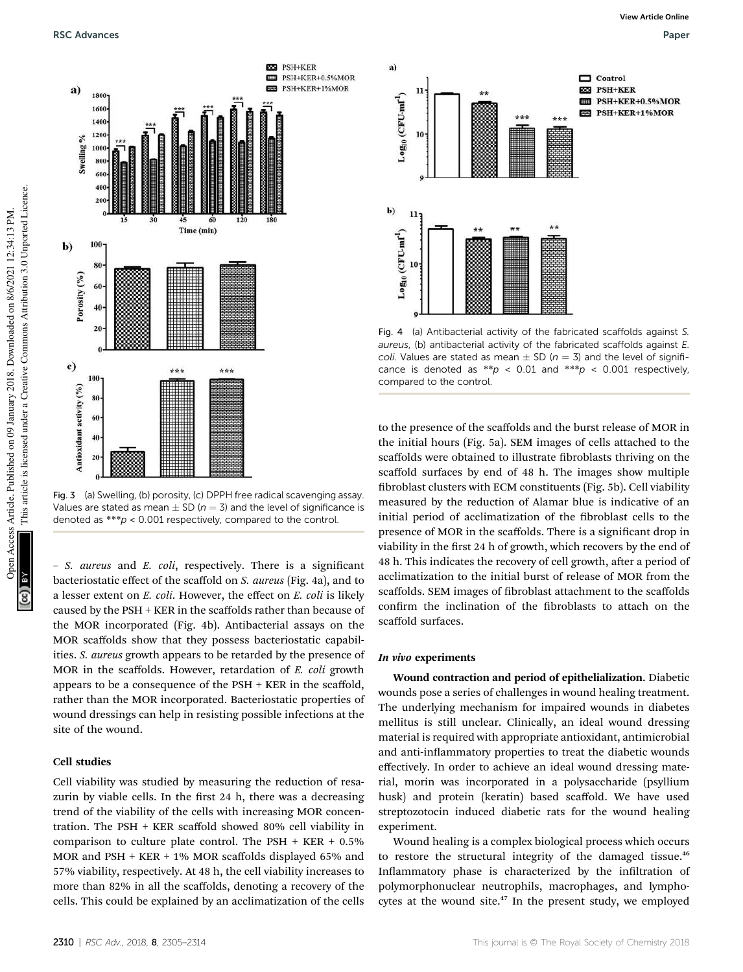

Fig. 3 (a) Swelling, (b) porosity, (c) DPPH free radical scavenging assay. Values are stated as mean  $\pm$  SD ( $n = 3$ ) and the level of significance is denoted as \*\*\*p < 0.001 respectively, compared to the control.

**BSB** PSH+KER

國

**EED** PSH+KER+0.5%MOR

PSH+KER+1%MOR

– *S. aureus* and *E. coli*, respectively. There is a signicant bacteriostatic effect of the scaffold on *S. aureus* (Fig. 4a), and to a lesser extent on *E. coli*. However, the effect on *E. coli* is likely caused by the PSH + KER in the scaffolds rather than because of the MOR incorporated (Fig. 4b). Antibacterial assays on the MOR scaffolds show that they possess bacteriostatic capabilities. *S. aureus* growth appears to be retarded by the presence of MOR in the scaffolds. However, retardation of *E. coli* growth appears to be a consequence of the PSH + KER in the scaffold, rather than the MOR incorporated. Bacteriostatic properties of wound dressings can help in resisting possible infections at the site of the wound.

### Cell studies

Cell viability was studied by measuring the reduction of resazurin by viable cells. In the first 24 h, there was a decreasing trend of the viability of the cells with increasing MOR concentration. The PSH + KER scaffold showed 80% cell viability in comparison to culture plate control. The PSH  $+$  KER  $+$  0.5% MOR and PSH + KER + 1% MOR scaffolds displayed 65% and 57% viability, respectively. At 48 h, the cell viability increases to more than 82% in all the scaffolds, denoting a recovery of the cells. This could be explained by an acclimatization of the cells



Fig. 4 (a) Antibacterial activity of the fabricated scaffolds against S. aureus, (b) antibacterial activity of the fabricated scaffolds against E. coli. Values are stated as mean  $\pm$  SD ( $n = 3$ ) and the level of significance is denoted as  $*p < 0.01$  and  $**p < 0.001$  respectively, compared to the control.

to the presence of the scaffolds and the burst release of MOR in the initial hours (Fig. 5a). SEM images of cells attached to the scaffolds were obtained to illustrate fibroblasts thriving on the scaffold surfaces by end of 48 h. The images show multiple broblast clusters with ECM constituents (Fig. 5b). Cell viability measured by the reduction of Alamar blue is indicative of an initial period of acclimatization of the fibroblast cells to the presence of MOR in the scaffolds. There is a signicant drop in viability in the first 24 h of growth, which recovers by the end of 48 h. This indicates the recovery of cell growth, after a period of acclimatization to the initial burst of release of MOR from the scaffolds. SEM images of fibroblast attachment to the scaffolds confirm the inclination of the fibroblasts to attach on the scaffold surfaces.

#### In vivo experiments

Wound contraction and period of epithelialization. Diabetic wounds pose a series of challenges in wound healing treatment. The underlying mechanism for impaired wounds in diabetes mellitus is still unclear. Clinically, an ideal wound dressing material is required with appropriate antioxidant, antimicrobial and anti-inflammatory properties to treat the diabetic wounds effectively. In order to achieve an ideal wound dressing material, morin was incorporated in a polysaccharide (psyllium husk) and protein (keratin) based scaffold. We have used streptozotocin induced diabetic rats for the wound healing experiment.

Wound healing is a complex biological process which occurs to restore the structural integrity of the damaged tissue.<sup>46</sup> Inflammatory phase is characterized by the infiltration of polymorphonuclear neutrophils, macrophages, and lymphocytes at the wound site.<sup>47</sup> In the present study, we employed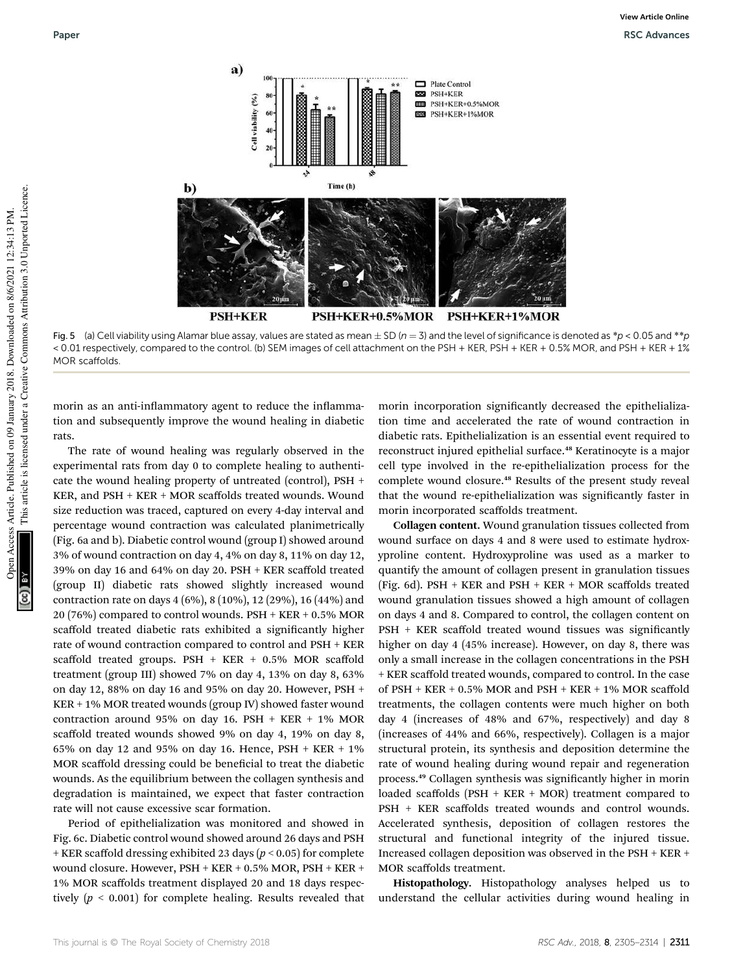

Fig. 5 (a) Cell viability using Alamar blue assay, values are stated as mean  $\pm$  SD (n = 3) and the level of significance is denoted as \*p < 0.05 and \*\*p < 0.01 respectively, compared to the control. (b) SEM images of cell attachment on the PSH + KER, PSH + KER + 0.5% MOR, and PSH + KER + 1% MOR scaffolds.

morin as an anti-inflammatory agent to reduce the inflammation and subsequently improve the wound healing in diabetic rats.

The rate of wound healing was regularly observed in the experimental rats from day 0 to complete healing to authenticate the wound healing property of untreated (control), PSH + KER, and PSH + KER + MOR scaffolds treated wounds. Wound size reduction was traced, captured on every 4-day interval and percentage wound contraction was calculated planimetrically (Fig. 6a and b). Diabetic control wound (group I) showed around 3% of wound contraction on day 4, 4% on day 8, 11% on day 12, 39% on day 16 and 64% on day 20. PSH + KER scaffold treated (group II) diabetic rats showed slightly increased wound contraction rate on days 4 (6%), 8 (10%), 12 (29%), 16 (44%) and 20 (76%) compared to control wounds. PSH + KER + 0.5% MOR scaffold treated diabetic rats exhibited a significantly higher rate of wound contraction compared to control and PSH + KER scaffold treated groups.  $PSH + KER + 0.5\%$  MOR scaffold treatment (group III) showed 7% on day 4, 13% on day 8, 63% on day 12, 88% on day 16 and 95% on day 20. However, PSH + KER + 1% MOR treated wounds (group IV) showed faster wound contraction around 95% on day 16. PSH + KER + 1% MOR scaffold treated wounds showed 9% on day 4, 19% on day 8, 65% on day 12 and 95% on day 16. Hence, PSH + KER + 1% MOR scaffold dressing could be beneficial to treat the diabetic wounds. As the equilibrium between the collagen synthesis and degradation is maintained, we expect that faster contraction rate will not cause excessive scar formation.

Period of epithelialization was monitored and showed in Fig. 6c. Diabetic control wound showed around 26 days and PSH + KER scaffold dressing exhibited 23 days (*p* < 0.05) for complete wound closure. However, PSH + KER + 0.5% MOR, PSH + KER + 1% MOR scaffolds treatment displayed 20 and 18 days respectively  $(p < 0.001)$  for complete healing. Results revealed that morin incorporation significantly decreased the epithelialization time and accelerated the rate of wound contraction in diabetic rats. Epithelialization is an essential event required to reconstruct injured epithelial surface.<sup>48</sup> Keratinocyte is a major cell type involved in the re-epithelialization process for the complete wound closure.<sup>48</sup> Results of the present study reveal that the wound re-epithelialization was significantly faster in morin incorporated scaffolds treatment.

Collagen content. Wound granulation tissues collected from wound surface on days 4 and 8 were used to estimate hydroxyproline content. Hydroxyproline was used as a marker to quantify the amount of collagen present in granulation tissues (Fig. 6d). PSH + KER and PSH + KER + MOR scaffolds treated wound granulation tissues showed a high amount of collagen on days 4 and 8. Compared to control, the collagen content on PSH + KER scaffold treated wound tissues was significantly higher on day 4 (45% increase). However, on day 8, there was only a small increase in the collagen concentrations in the PSH + KER scaffold treated wounds, compared to control. In the case of PSH + KER + 0.5% MOR and PSH + KER + 1% MOR scaffold treatments, the collagen contents were much higher on both day 4 (increases of 48% and 67%, respectively) and day 8 (increases of 44% and 66%, respectively). Collagen is a major structural protein, its synthesis and deposition determine the rate of wound healing during wound repair and regeneration process.<sup>49</sup> Collagen synthesis was significantly higher in morin loaded scaffolds (PSH + KER + MOR) treatment compared to PSH + KER scaffolds treated wounds and control wounds. Accelerated synthesis, deposition of collagen restores the structural and functional integrity of the injured tissue. Increased collagen deposition was observed in the PSH + KER + MOR scaffolds treatment.

Histopathology. Histopathology analyses helped us to understand the cellular activities during wound healing in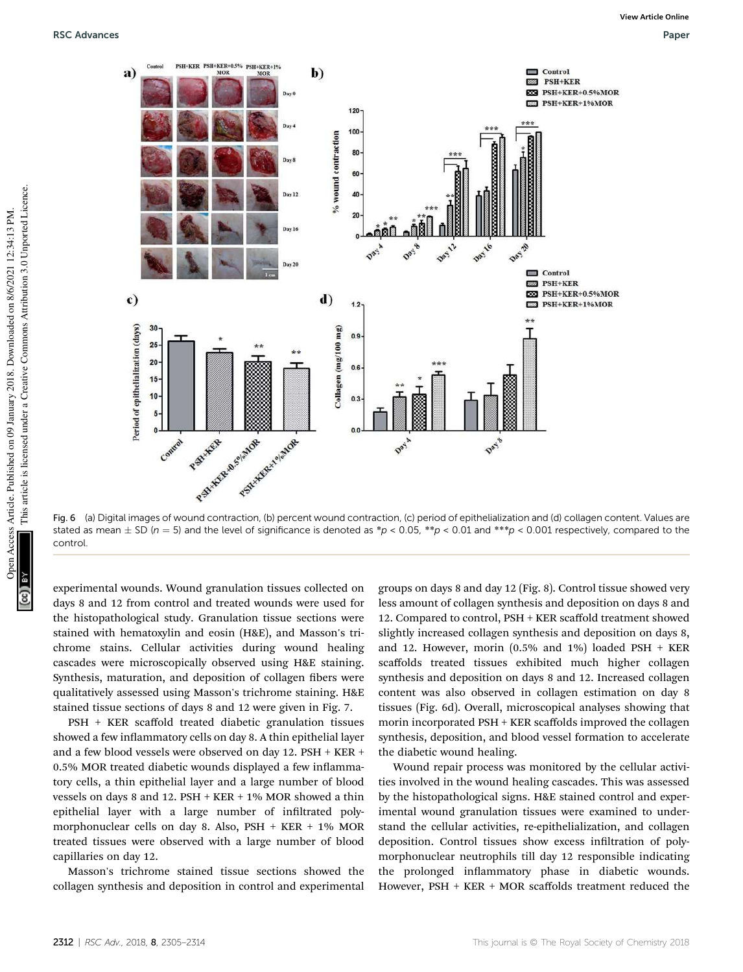

Fig. 6 (a) Digital images of wound contraction, (b) percent wound contraction, (c) period of epithelialization and (d) collagen content. Values are stated as mean  $\pm$  SD (n = 5) and the level of significance is denoted as \*p < 0.05, \*\*p < 0.01 and \*\*\*p < 0.001 respectively, compared to the control.

experimental wounds. Wound granulation tissues collected on days 8 and 12 from control and treated wounds were used for the histopathological study. Granulation tissue sections were stained with hematoxylin and eosin (H&E), and Masson's trichrome stains. Cellular activities during wound healing cascades were microscopically observed using H&E staining. Synthesis, maturation, and deposition of collagen fibers were qualitatively assessed using Masson's trichrome staining. H&E stained tissue sections of days 8 and 12 were given in Fig. 7.

PSH + KER scaffold treated diabetic granulation tissues showed a few inflammatory cells on day 8. A thin epithelial layer and a few blood vessels were observed on day 12. PSH + KER + 0.5% MOR treated diabetic wounds displayed a few inflammatory cells, a thin epithelial layer and a large number of blood vessels on days 8 and 12. PSH + KER + 1% MOR showed a thin epithelial layer with a large number of infiltrated polymorphonuclear cells on day 8. Also, PSH + KER + 1% MOR treated tissues were observed with a large number of blood capillaries on day 12.

Masson's trichrome stained tissue sections showed the collagen synthesis and deposition in control and experimental

groups on days 8 and day 12 (Fig. 8). Control tissue showed very less amount of collagen synthesis and deposition on days 8 and 12. Compared to control, PSH + KER scaffold treatment showed slightly increased collagen synthesis and deposition on days 8, and 12. However, morin (0.5% and 1%) loaded PSH + KER scaffolds treated tissues exhibited much higher collagen synthesis and deposition on days 8 and 12. Increased collagen content was also observed in collagen estimation on day 8 tissues (Fig. 6d). Overall, microscopical analyses showing that morin incorporated PSH + KER scaffolds improved the collagen synthesis, deposition, and blood vessel formation to accelerate the diabetic wound healing.

Wound repair process was monitored by the cellular activities involved in the wound healing cascades. This was assessed by the histopathological signs. H&E stained control and experimental wound granulation tissues were examined to understand the cellular activities, re-epithelialization, and collagen deposition. Control tissues show excess infiltration of polymorphonuclear neutrophils till day 12 responsible indicating the prolonged inflammatory phase in diabetic wounds. However, PSH + KER + MOR scaffolds treatment reduced the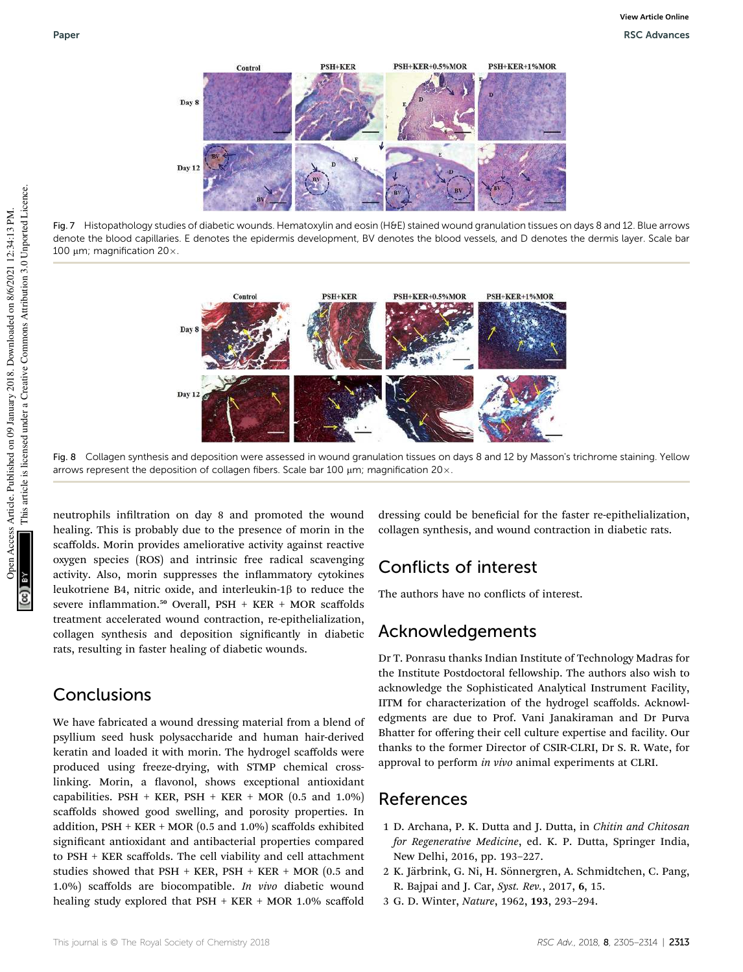

Fig. 7 Histopathology studies of diabetic wounds. Hematoxylin and eosin (H&E) stained wound granulation tissues on days 8 and 12. Blue arrows denote the blood capillaries. E denotes the epidermis development, BV denotes the blood vessels, and D denotes the dermis layer. Scale bar 100  $\mu$ m; magnification 20 $\times$ .



Fig. 8 Collagen synthesis and deposition were assessed in wound granulation tissues on days 8 and 12 by Masson's trichrome staining. Yellow arrows represent the deposition of collagen fibers. Scale bar 100  $\mu$ m; magnification 20 $\times$ .

neutrophils infiltration on day 8 and promoted the wound healing. This is probably due to the presence of morin in the scaffolds. Morin provides ameliorative activity against reactive oxygen species (ROS) and intrinsic free radical scavenging activity. Also, morin suppresses the inflammatory cytokines leukotriene B4, nitric oxide, and interleukin-1 $\beta$  to reduce the severe inflammation.<sup>50</sup> Overall, PSH + KER + MOR scaffolds treatment accelerated wound contraction, re-epithelialization, collagen synthesis and deposition signicantly in diabetic rats, resulting in faster healing of diabetic wounds.

## Conclusions

We have fabricated a wound dressing material from a blend of psyllium seed husk polysaccharide and human hair-derived keratin and loaded it with morin. The hydrogel scaffolds were produced using freeze-drying, with STMP chemical crosslinking. Morin, a flavonol, shows exceptional antioxidant capabilities. PSH + KER, PSH + KER + MOR  $(0.5 \text{ and } 1.0\%)$ scaffolds showed good swelling, and porosity properties. In addition,  $PSH + KER + MOR (0.5 and 1.0%) scaffolds exhibited$ significant antioxidant and antibacterial properties compared to PSH + KER scaffolds. The cell viability and cell attachment studies showed that  $PSH + KER$ ,  $PSH + KER + MOR$  (0.5 and 1.0%) scaffolds are biocompatible. *In vivo* diabetic wound healing study explored that PSH + KER + MOR 1.0% scaffold

dressing could be beneficial for the faster re-epithelialization, collagen synthesis, and wound contraction in diabetic rats.

## Conflicts of interest

The authors have no conflicts of interest.

## Acknowledgements

Dr T. Ponrasu thanks Indian Institute of Technology Madras for the Institute Postdoctoral fellowship. The authors also wish to acknowledge the Sophisticated Analytical Instrument Facility, IITM for characterization of the hydrogel scaffolds. Acknowledgments are due to Prof. Vani Janakiraman and Dr Purva Bhatter for offering their cell culture expertise and facility. Our thanks to the former Director of CSIR-CLRI, Dr S. R. Wate, for approval to perform *in vivo* animal experiments at CLRI.

## References

- 1 D. Archana, P. K. Dutta and J. Dutta, in *Chitin and Chitosan for Regenerative Medicine*, ed. K. P. Dutta, Springer India, New Delhi, 2016, pp. 193–227.
- 2 K. Järbrink, G. Ni, H. Sönnergren, A. Schmidtchen, C. Pang, R. Bajpai and J. Car, *Syst. Rev.*, 2017, 6, 15.
- 3 G. D. Winter, *Nature*, 1962, 193, 293–294.